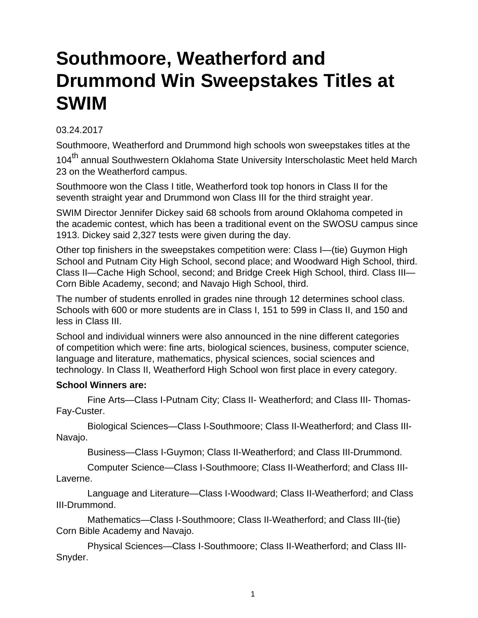## **Southmoore, Weatherford and Drummond Win Sweepstakes Titles at SWIM**

## 03.24.2017

Southmoore, Weatherford and Drummond high schools won sweepstakes titles at the 104<sup>th</sup> annual Southwestern Oklahoma State University Interscholastic Meet held March 23 on the Weatherford campus.

Southmoore won the Class I title, Weatherford took top honors in Class II for the seventh straight year and Drummond won Class III for the third straight year.

SWIM Director Jennifer Dickey said 68 schools from around Oklahoma competed in the academic contest, which has been a traditional event on the SWOSU campus since 1913. Dickey said 2,327 tests were given during the day.

Other top finishers in the sweepstakes competition were: Class I—(tie) Guymon High School and Putnam City High School, second place; and Woodward High School, third. Class II—Cache High School, second; and Bridge Creek High School, third. Class III— Corn Bible Academy, second; and Navajo High School, third.

The number of students enrolled in grades nine through 12 determines school class. Schools with 600 or more students are in Class I, 151 to 599 in Class II, and 150 and less in Class III.

School and individual winners were also announced in the nine different categories of competition which were: fine arts, biological sciences, business, computer science, language and literature, mathematics, physical sciences, social sciences and technology. In Class II, Weatherford High School won first place in every category.

## **School Winners are:**

 Fine Arts—Class I-Putnam City; Class II- Weatherford; and Class III- Thomas-Fay-Custer.

 Biological Sciences—Class I-Southmoore; Class II-Weatherford; and Class III-Navajo.

Business—Class I-Guymon; Class II-Weatherford; and Class III-Drummond.

 Computer Science—Class I-Southmoore; Class II-Weatherford; and Class III-Laverne.

 Language and Literature—Class I-Woodward; Class II-Weatherford; and Class III-Drummond.

 Mathematics—Class I-Southmoore; Class II-Weatherford; and Class III-(tie) Corn Bible Academy and Navajo.

 Physical Sciences—Class I-Southmoore; Class II-Weatherford; and Class III-Snyder.